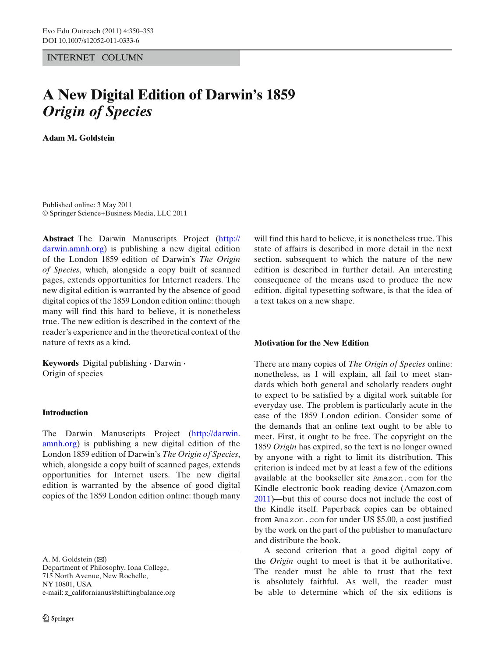INTERNET COLUMN

# **A New Digital Edition of Darwin's 1859** *Origin of Species*

**Adam M. Goldstein**

Published online: 3 May 2011 © Springer Science+Business Media, LLC 2011

**Abstract** The Darwin Manuscripts Project [\(http://](http://darwin.amnh.org) [darwin.amnh.org\)](http://darwin.amnh.org) is publishing a new digital edition of the London 1859 edition of Darwin's *The Origin of Species*, which, alongside a copy built of scanned pages, extends opportunities for Internet readers. The new digital edition is warranted by the absence of good digital copies of the 1859 London edition online: though many will find this hard to believe, it is nonetheless true. The new edition is described in the context of the reader's experience and in the theoretical context of the nature of texts as a kind.

**Keywords** Digital publishing **·** Darwin **·** Origin of species

## **Introduction**

The Darwin Manuscripts Project [\(http://darwin.](http://darwin.amnh.org) [amnh.org\)](http://darwin.amnh.org) is publishing a new digital edition of the London 1859 edition of Darwin's *The Origin of Species*, which, alongside a copy built of scanned pages, extends opportunities for Internet users. The new digital edition is warranted by the absence of good digital copies of the 1859 London edition online: though many

A. M. Goldstein  $(\boxtimes)$ Department of Philosophy, Iona College, 715 North Avenue, New Rochelle, NY 10801, USA e-mail: z\_californianus@shiftingbalance.org will find this hard to believe, it is nonetheless true. This state of affairs is described in more detail in the next section, subsequent to which the nature of the new edition is described in further detail. An interesting consequence of the means used to produce the new edition, digital typesetting software, is that the idea of a text takes on a new shape.

### **Motivation for the New Edition**

There are many copies of *The Origin of Species* online: nonetheless, as I will explain, all fail to meet standards which both general and scholarly readers ought to expect to be satisfied by a digital work suitable for everyday use. The problem is particularly acute in the case of the 1859 London edition. Consider some of the demands that an online text ought to be able to meet. First, it ought to be free. The copyright on the 1859 *Origin* has expired, so the text is no longer owned by anyone with a right to limit its distribution. This criterion is indeed met by at least a few of the editions available at the bookseller site Amazon.com for the Kindle electronic book reading device (Amazon.co[m](#page-3-0) [2011](#page-3-0))—but this of course does not include the cost of the Kindle itself. Paperback copies can be obtained from Amazon.com for under US \$5.00, a cost justified by the work on the part of the publisher to manufacture and distribute the book.

A second criterion that a good digital copy of the *Origin* ought to meet is that it be authoritative. The reader must be able to trust that the text is absolutely faithful. As well, the reader must be able to determine which of the six editions is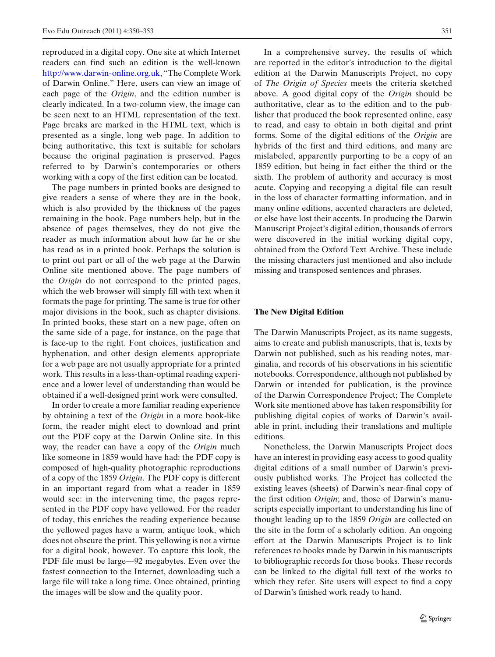reproduced in a digital copy. One site at which Internet readers can find such an edition is the well-known [http://www.darwin-online.org.uk,](http://www.darwin-online.org.uk) "The Complete Work of Darwin Online." Here, users can view an image of each page of the *Origin*, and the edition number is clearly indicated. In a two-column view, the image can be seen next to an HTML representation of the text. Page breaks are marked in the HTML text, which is presented as a single, long web page. In addition to being authoritative, this text is suitable for scholars because the original pagination is preserved. Pages referred to by Darwin's contemporaries or others working with a copy of the first edition can be located.

The page numbers in printed books are designed to give readers a sense of where they are in the book, which is also provided by the thickness of the pages remaining in the book. Page numbers help, but in the absence of pages themselves, they do not give the reader as much information about how far he or she has read as in a printed book. Perhaps the solution is to print out part or all of the web page at the Darwin Online site mentioned above. The page numbers of the *Origin* do not correspond to the printed pages, which the web browser will simply fill with text when it formats the page for printing. The same is true for other major divisions in the book, such as chapter divisions. In printed books, these start on a new page, often on the same side of a page, for instance, on the page that is face-up to the right. Font choices, justification and hyphenation, and other design elements appropriate for a web page are not usually appropriate for a printed work. This results in a less-than-optimal reading experience and a lower level of understanding than would be obtained if a well-designed print work were consulted.

In order to create a more familiar reading experience by obtaining a text of the *Origin* in a more book-like form, the reader might elect to download and print out the PDF copy at the Darwin Online site. In this way, the reader can have a copy of the *Origin* much like someone in 1859 would have had: the PDF copy is composed of high-quality photographic reproductions of a copy of the 1859 *Origin*. The PDF copy is different in an important regard from what a reader in 1859 would see: in the intervening time, the pages represented in the PDF copy have yellowed. For the reader of today, this enriches the reading experience because the yellowed pages have a warm, antique look, which does not obscure the print. This yellowing is not a virtue for a digital book, however. To capture this look, the PDF file must be large—92 megabytes. Even over the fastest connection to the Internet, downloading such a large file will take a long time. Once obtained, printing the images will be slow and the quality poor.

In a comprehensive survey, the results of which are reported in the editor's introduction to the digital edition at the Darwin Manuscripts Project, no copy of *The Origin of Species* meets the criteria sketched above. A good digital copy of the *Origin* should be authoritative, clear as to the edition and to the publisher that produced the book represented online, easy to read, and easy to obtain in both digital and print forms. Some of the digital editions of the *Origin* are hybrids of the first and third editions, and many are mislabeled, apparently purporting to be a copy of an 1859 edition, but being in fact either the third or the sixth. The problem of authority and accuracy is most acute. Copying and recopying a digital file can result in the loss of character formatting information, and in many online editions, accented characters are deleted, or else have lost their accents. In producing the Darwin Manuscript Project's digital edition, thousands of errors were discovered in the initial working digital copy, obtained from the Oxford Text Archive. These include the missing characters just mentioned and also include missing and transposed sentences and phrases.

### **The New Digital Edition**

The Darwin Manuscripts Project, as its name suggests, aims to create and publish manuscripts, that is, texts by Darwin not published, such as his reading notes, marginalia, and records of his observations in his scientific notebooks. Correspondence, although not published by Darwin or intended for publication, is the province of the Darwin Correspondence Project; The Complete Work site mentioned above has taken responsibility for publishing digital copies of works of Darwin's available in print, including their translations and multiple editions.

Nonetheless, the Darwin Manuscripts Project does have an interest in providing easy access to good quality digital editions of a small number of Darwin's previously published works. The Project has collected the existing leaves (sheets) of Darwin's near-final copy of the first edition *Origin*; and, those of Darwin's manuscripts especially important to understanding his line of thought leading up to the 1859 *Origin* are collected on the site in the form of a scholarly edition. An ongoing effort at the Darwin Manuscripts Project is to link references to books made by Darwin in his manuscripts to bibliographic records for those books. These records can be linked to the digital full text of the works to which they refer. Site users will expect to find a copy of Darwin's finished work ready to hand.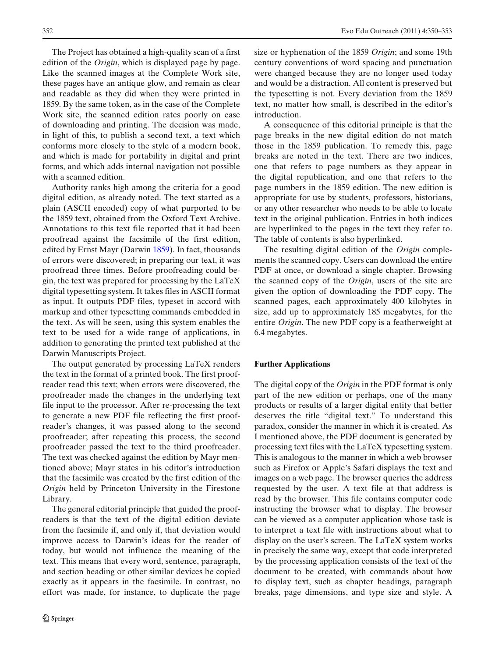The Project has obtained a high-quality scan of a first edition of the *Origin*, which is displayed page by page. Like the scanned images at the Complete Work site, these pages have an antique glow, and remain as clear and readable as they did when they were printed in 1859. By the same token, as in the case of the Complete Work site, the scanned edition rates poorly on ease of downloading and printing. The decision was made, in light of this, to publish a second text, a text which conforms more closely to the style of a modern book, and which is made for portability in digital and print forms, and which adds internal navigation not possible with a scanned edition.

Authority ranks high among the criteria for a good digital edition, as already noted. The text started as a plain (ASCII encoded) copy of what purported to be the 1859 text, obtained from the Oxford Text Archive. Annotations to this text file reported that it had been proofread against the facsimile of the first edition, edited by Ernst Mayr (Darwi[n](#page-3-0) [1859](#page-3-0)). In fact, thousands of errors were discovered; in preparing our text, it was proofread three times. Before proofreading could begin, the text was prepared for processing by the LaTeX digital typesetting system. It takes files in ASCII format as input. It outputs PDF files, typeset in accord with markup and other typesetting commands embedded in the text. As will be seen, using this system enables the text to be used for a wide range of applications, in addition to generating the printed text published at the Darwin Manuscripts Project.

The output generated by processing LaTeX renders the text in the format of a printed book. The first proofreader read this text; when errors were discovered, the proofreader made the changes in the underlying text file input to the processor. After re-processing the text to generate a new PDF file reflecting the first proofreader's changes, it was passed along to the second proofreader; after repeating this process, the second proofreader passed the text to the third proofreader. The text was checked against the edition by Mayr mentioned above; Mayr states in his editor's introduction that the facsimile was created by the first edition of the *Origin* held by Princeton University in the Firestone Library.

The general editorial principle that guided the proofreaders is that the text of the digital edition deviate from the facsimile if, and only if, that deviation would improve access to Darwin's ideas for the reader of today, but would not influence the meaning of the text. This means that every word, sentence, paragraph, and section heading or other similar devices be copied exactly as it appears in the facsimile. In contrast, no effort was made, for instance, to duplicate the page size or hyphenation of the 1859 *Origin*; and some 19th century conventions of word spacing and punctuation were changed because they are no longer used today and would be a distraction. All content is preserved but the typesetting is not. Every deviation from the 1859 text, no matter how small, is described in the editor's introduction.

A consequence of this editorial principle is that the page breaks in the new digital edition do not match those in the 1859 publication. To remedy this, page breaks are noted in the text. There are two indices, one that refers to page numbers as they appear in the digital republication, and one that refers to the page numbers in the 1859 edition. The new edition is appropriate for use by students, professors, historians, or any other researcher who needs to be able to locate text in the original publication. Entries in both indices are hyperlinked to the pages in the text they refer to. The table of contents is also hyperlinked.

The resulting digital edition of the *Origin* complements the scanned copy. Users can download the entire PDF at once, or download a single chapter. Browsing the scanned copy of the *Origin*, users of the site are given the option of downloading the PDF copy. The scanned pages, each approximately 400 kilobytes in size, add up to approximately 185 megabytes, for the entire *Origin*. The new PDF copy is a featherweight at 6.4 megabytes.

### **Further Applications**

The digital copy of the *Origin* in the PDF format is only part of the new edition or perhaps, one of the many products or results of a larger digital entity that better deserves the title "digital text." To understand this paradox, consider the manner in which it is created. As I mentioned above, the PDF document is generated by processing text files with the LaTeX typesetting system. This is analogous to the manner in which a web browser such as Firefox or Apple's Safari displays the text and images on a web page. The browser queries the address requested by the user. A text file at that address is read by the browser. This file contains computer code instructing the browser what to display. The browser can be viewed as a computer application whose task is to interpret a text file with instructions about what to display on the user's screen. The LaTeX system works in precisely the same way, except that code interpreted by the processing application consists of the text of the document to be created, with commands about how to display text, such as chapter headings, paragraph breaks, page dimensions, and type size and style. A